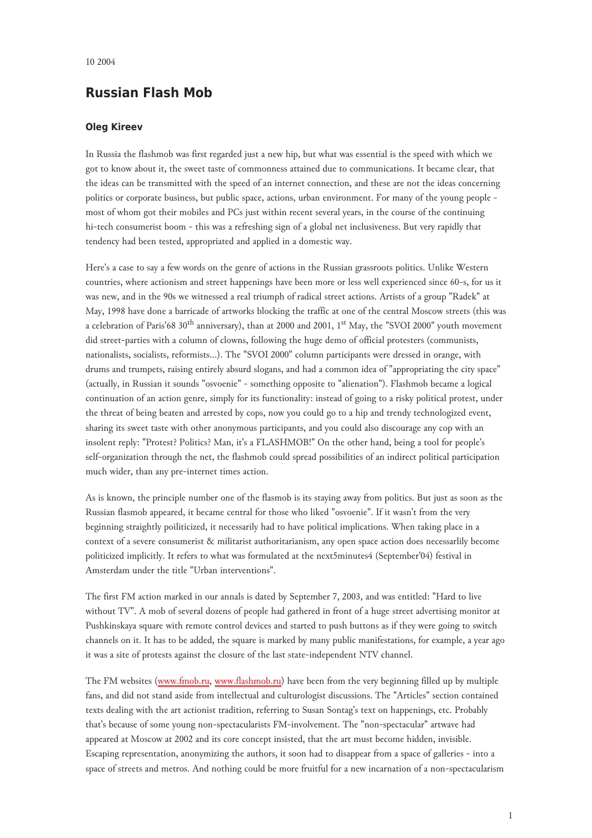## **Russian Flash Mob**

## **Oleg Kireev**

In Russia the flashmob was first regarded just a new hip, but what was essential is the speed with which we got to know about it, the sweet taste of commonness attained due to communications. It became clear, that the ideas can be transmitted with the speed of an internet connection, and these are not the ideas concerning politics or corporate business, but public space, actions, urban environment. For many of the young people most of whom got their mobiles and PCs just within recent several years, in the course of the continuing hi-tech consumerist boom - this was a refreshing sign of a global net inclusiveness. But very rapidly that tendency had been tested, appropriated and applied in a domestic way.

Here's a case to say a few words on the genre of actions in the Russian grassroots politics. Unlike Western countries, where actionism and street happenings have been more or less well experienced since 60-s, for us it was new, and in the 90s we witnessed a real triumph of radical street actions. Artists of a group "Radek" at May, 1998 have done a barricade of artworks blocking the traffic at one of the central Moscow streets (this was a celebration of Paris'68 30<sup>th</sup> anniversary), than at 2000 and 2001, 1<sup>st</sup> May, the "SVOI 2000" youth movement did street-parties with a column of clowns, following the huge demo of official protesters (communists, nationalists, socialists, reformists...). The "SVOI 2000" column participants were dressed in orange, with drums and trumpets, raising entirely absurd slogans, and had a common idea of "appropriating the city space" (actually, in Russian it sounds "osvoenie" - something opposite to "alienation"). Flashmob became a logical continuation of an action genre, simply for its functionality: instead of going to a risky political protest, under the threat of being beaten and arrested by cops, now you could go to a hip and trendy technologized event, sharing its sweet taste with other anonymous participants, and you could also discourage any cop with an insolent reply: "Protest? Politics? Man, it's a FLASHMOB!" On the other hand, being a tool for people's self-organization through the net, the flashmob could spread possibilities of an indirect political participation much wider, than any pre-internet times action.

As is known, the principle number one of the flasmob is its staying away from politics. But just as soon as the Russian flasmob appeared, it became central for those who liked "osvoenie". If it wasn't from the very beginning straightly poiliticized, it necessarily had to have political implications. When taking place in a context of a severe consumerist & militarist authoritarianism, any open space action does necessarlily become politicized implicitly. It refers to what was formulated at the next5minutes4 (September'04) festival in Amsterdam under the title "Urban interventions".

The first FM action marked in our annals is dated by September 7, 2003, and was entitled: "Hard to live without TV". A mob of several dozens of people had gathered in front of a huge street advertising monitor at Pushkinskaya square with remote control devices and started to push buttons as if they were going to switch channels on it. It has to be added, the square is marked by many public manifestations, for example, a year ago it was a site of protests against the closure of the last state-independent NTV channel.

The FM websites ([www.fmob.ru,](http://www.fmob.ru/) [www.flashmob.ru\)](http://www.flashmob.ru/) have been from the very beginning filled up by multiple fans, and did not stand aside from intellectual and culturologist discussions. The "Articles" section contained texts dealing with the art actionist tradition, referring to Susan Sontag's text on happenings, etc. Probably that's because of some young non-spectacularists FM-involvement. The "non-spectacular" artwave had appeared at Moscow at 2002 and its core concept insisted, that the art must become hidden, invisible. Escaping representation, anonymizing the authors, it soon had to disappear from a space of galleries - into a space of streets and metros. And nothing could be more fruitful for a new incarnation of a non-spectacularism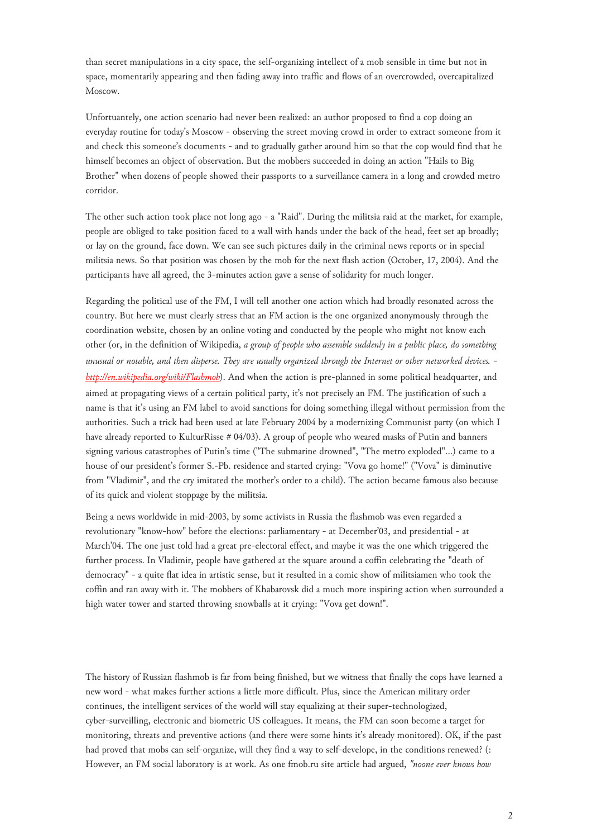than secret manipulations in a city space, the self-organizing intellect of a mob sensible in time but not in space, momentarily appearing and then fading away into traffic and flows of an overcrowded, overcapitalized Moscow.

Unfortuantely, one action scenario had never been realized: an author proposed to find a cop doing an everyday routine for today's Moscow - observing the street moving crowd in order to extract someone from it and check this someone's documents - and to gradually gather around him so that the cop would find that he himself becomes an object of observation. But the mobbers succeeded in doing an action "Hails to Big Brother" when dozens of people showed their passports to a surveillance camera in a long and crowded metro corridor.

The other such action took place not long ago - a "Raid". During the militsia raid at the market, for example, people are obliged to take position faced to a wall with hands under the back of the head, feet set ap broadly; or lay on the ground, face down. We can see such pictures daily in the criminal news reports or in special militsia news. So that position was chosen by the mob for the next flash action (October, 17, 2004). And the participants have all agreed, the 3-minutes action gave a sense of solidarity for much longer.

Regarding the political use of the FM, I will tell another one action which had broadly resonated across the country. But here we must clearly stress that an FM action is the one organized anonymously through the coordination website, chosen by an online voting and conducted by the people who might not know each other (or, in the definition of Wikipedia, *a group of people who assemble suddenly in a public place, do something unusual or notable, and then disperse. They are usually organized through the Internet or other networked devices. <http://en.wikipedia.org/wiki/Flashmob>*). And when the action is pre-planned in some political headquarter, and aimed at propagating views of a certain political party, it's not precisely an FM. The justification of such a name is that it's using an FM label to avoid sanctions for doing something illegal without permission from the authorities. Such a trick had been used at late February 2004 by a modernizing Communist party (on which I have already reported to KulturRisse # 04/03). A group of people who weared masks of Putin and banners signing various catastrophes of Putin's time ("The submarine drowned", "The metro exploded"...) came to a house of our president's former S.-Pb. residence and started crying: "Vova go home!" ("Vova" is diminutive from "Vladimir", and the cry imitated the mother's order to a child). The action became famous also because of its quick and violent stoppage by the militsia.

Being a news worldwide in mid-2003, by some activists in Russia the flashmob was even regarded a revolutionary "know-how" before the elections: parliamentary - at December'03, and presidential - at March'04. The one just told had a great pre-electoral effect, and maybe it was the one which triggered the further process. In Vladimir, people have gathered at the square around a coffin celebrating the "death of democracy" - a quite flat idea in artistic sense, but it resulted in a comic show of militsiamen who took the coffin and ran away with it. The mobbers of Khabarovsk did a much more inspiring action when surrounded a high water tower and started throwing snowballs at it crying: "Vova get down!".

The history of Russian flashmob is far from being finished, but we witness that finally the cops have learned a new word - what makes further actions a little more difficult. Plus, since the American military order continues, the intelligent services of the world will stay equalizing at their super-technologized, cyber-surveilling, electronic and biometric US colleagues. It means, the FM can soon become a target for monitoring, threats and preventive actions (and there were some hints it's already monitored). OK, if the past had proved that mobs can self-organize, will they find a way to self-develope, in the conditions renewed? (: However, an FM social laboratory is at work. As one fmob.ru site article had argued, *"noone ever knows how*